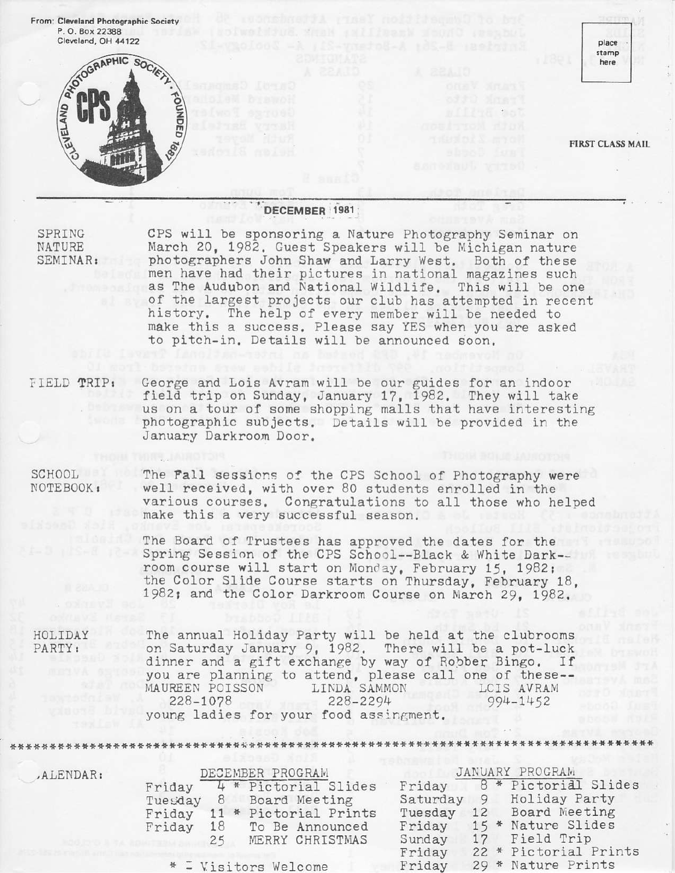

# DECEMBER 1981;

SPRING NATURE SEMINAR:

CPS will be sponsoring a Nature Photography Seninar on March 20, 1982. Guest Speakers will be Michigan nature photographers John Shaw and Larry West. Both of these men have had their pictures in national magazines such as The Audubon and National Wildlife. This will be one of the fargest projects our club has attempted in recent history. The help of every member will be needed to make this a success. Please say YES when you are asked to pitch-in. Details will be announced soon.

FIELD TRIP: George and Loi6 Avram will be our guides for an indoor field trip on Sunday, January 17, 1982. They will take us on a tour of some shopping malls that have interestin $_{l}$ photographic subjects. Details will be provided in the January Darkroom Door.

SCHOOL N0TEB00K r The Fall sessions of the CPS School of Photography were well received. with over 80 students enrolled in the various courses. Congratulations to all those who helped make this a very successful season.

The Board of Trustees has approved the dates for the Spring Session of the CPS School--Black & White Dark-room course will start on Monday, February 15, 1982; the Color Slide Course starts on Thursday, February 18, 1982; and the Color Darkroom Course on March 29, 1982.

HOLIDAY PARTY:

The annual Holiday Party will be held at the clubrooms on Saturday January 9, 1982. There will be a pot-luck dinner and a gift exchange by way of Robber Bingo. If you are planning to attend, please call one of these--<br>MAUREEN POISSON LINDA SAMMON LCIS AVRAM MAUREEN POISSON LINDA SAMMON 228-1078 228-2294 228-1078 young ladies for your food assingment. LCIS AVRAM 994-1452

+\*\*+r!\*++\*\*\*++++\*\*\*,l'\*\*t\*\*+\*+\*\*+\*++\*+t+\*\*+\*+++\*ttt\*\*++\*+\*\*\*\*+\*ti\*++++\*\*,t+l++\*+\*\*l+\*+t\*\*

,Al,ENDAR I

DECEMBER PROGRAM Friday  $-4$  \* Pictorial Slides<br>Tuegday 8 Board Meeting Board Meeting Friday 11 \* Pictorial Prints<br>Friday 18 To Be Announced To Be Announced 25 MERRY CHRISTMAS

 $=$  Visitors Welcome

JANUARY PROGRAM Friday  $8 *$  Pictorial Slides Saturday 9 Holiday Party<br>Tuesday 12 Board Meeting Board Meeting 15 \* Nature Slides Field Trip 22 \* Pictorial Prints 29 \* Nature Prints Friday Sunday Friday Friday  $17$